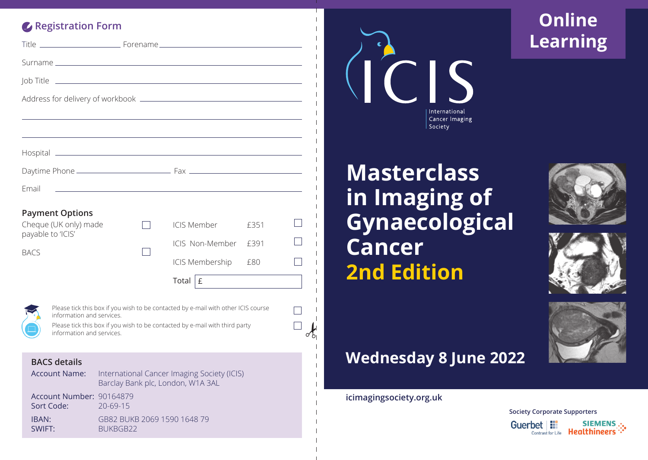#### **Registration Form**

| Email                                                                                                                                                                                                                      |                        |  | ,我们也不能在这里的时候,我们也不能在这里的时候,我们也不能会在这里的时候,我们也不能会在这里的时候,我们也不能会在这里的时候,我们也不能会在这里的时候,我们也                                           |      |   |
|----------------------------------------------------------------------------------------------------------------------------------------------------------------------------------------------------------------------------|------------------------|--|----------------------------------------------------------------------------------------------------------------------------|------|---|
|                                                                                                                                                                                                                            | <b>Payment Options</b> |  |                                                                                                                            |      |   |
| Cheque (UK only) made<br>payable to 'ICIS'<br><b>BACS</b>                                                                                                                                                                  |                        |  | <b>ICIS Member</b>                                                                                                         | £351 |   |
|                                                                                                                                                                                                                            |                        |  | ICIS Non-Member                                                                                                            | f391 |   |
|                                                                                                                                                                                                                            |                        |  | ICIS Membership                                                                                                            | £80  |   |
|                                                                                                                                                                                                                            |                        |  | $\begin{tabular}{ c c } \hline \texttt{Total} & \texttt{E} & \texttt{S} & \texttt{S} & \texttt{S} \\ \hline \end{tabular}$ |      |   |
|                                                                                                                                                                                                                            |                        |  |                                                                                                                            |      |   |
| Please tick this box if you wish to be contacted by e-mail with other ICIS course<br>information and services.<br>Please tick this box if you wish to be contacted by e-mail with third party<br>information and services. |                        |  |                                                                                                                            |      |   |
|                                                                                                                                                                                                                            |                        |  |                                                                                                                            |      | Ω |

#### **BACS details**

| <b>Account Name:</b>                   | International Cancer Imaging Society (ICIS)<br>Barclay Bank plc, London, W1A 3AL |
|----------------------------------------|----------------------------------------------------------------------------------|
| Account Number: 90164879<br>Sort Code: | $20 - 69 - 15$                                                                   |
| IBAN:<br>SWIFT:                        | GB82 BUKB 2069 1590 1648 79<br><b>BUKBGB22</b>                                   |



## **Online Learning**

# **Masterclass in Imaging of Gynaecological Cancer 2nd Edition**







### **Wednesday 8 June 2022**

**icimagingsociety.org.uk**

 $\mathcal{b}$ 

**Society Corporate Supporters**Guerbet | !! **SIEMENS** : Contrast for Life **Healthineers**